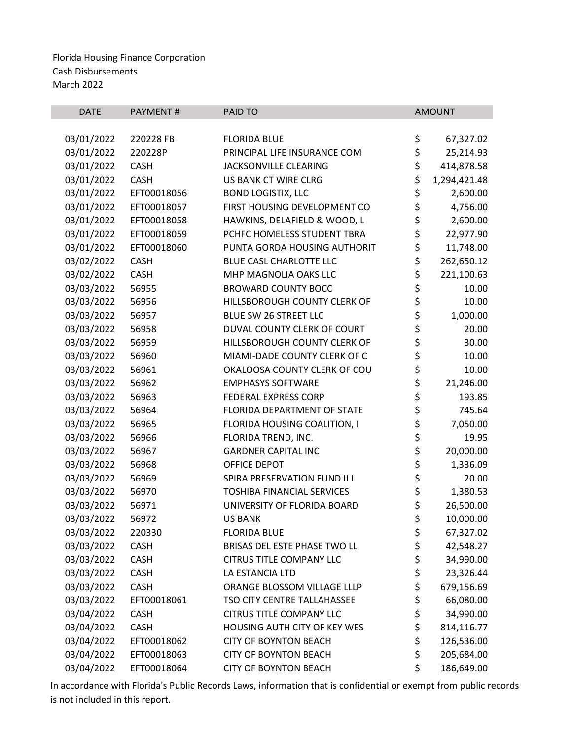| <b>DATE</b> | PAYMENT#    | PAID TO                           |          | <b>AMOUNT</b> |
|-------------|-------------|-----------------------------------|----------|---------------|
|             |             |                                   |          |               |
| 03/01/2022  | 220228 FB   | <b>FLORIDA BLUE</b>               | \$       | 67,327.02     |
| 03/01/2022  | 220228P     | PRINCIPAL LIFE INSURANCE COM      | \$       | 25,214.93     |
| 03/01/2022  | <b>CASH</b> | JACKSONVILLE CLEARING             | \$       | 414,878.58    |
| 03/01/2022  | <b>CASH</b> | US BANK CT WIRE CLRG              | \$       | 1,294,421.48  |
| 03/01/2022  | EFT00018056 | <b>BOND LOGISTIX, LLC</b>         | \$       | 2,600.00      |
| 03/01/2022  | EFT00018057 | FIRST HOUSING DEVELOPMENT CO      | \$       | 4,756.00      |
| 03/01/2022  | EFT00018058 | HAWKINS, DELAFIELD & WOOD, L      | \$       | 2,600.00      |
| 03/01/2022  | EFT00018059 | PCHFC HOMELESS STUDENT TBRA       | \$       | 22,977.90     |
| 03/01/2022  | EFT00018060 | PUNTA GORDA HOUSING AUTHORIT      | \$       | 11,748.00     |
| 03/02/2022  | <b>CASH</b> | BLUE CASL CHARLOTTE LLC           | \$       | 262,650.12    |
| 03/02/2022  | <b>CASH</b> | MHP MAGNOLIA OAKS LLC             | \$       | 221,100.63    |
| 03/03/2022  | 56955       | <b>BROWARD COUNTY BOCC</b>        | \$       | 10.00         |
| 03/03/2022  | 56956       | HILLSBOROUGH COUNTY CLERK OF      | \$       | 10.00         |
| 03/03/2022  | 56957       | BLUE SW 26 STREET LLC             | \$       | 1,000.00      |
| 03/03/2022  | 56958       | DUVAL COUNTY CLERK OF COURT       | \$       | 20.00         |
| 03/03/2022  | 56959       | HILLSBOROUGH COUNTY CLERK OF      | \$<br>\$ | 30.00         |
| 03/03/2022  | 56960       | MIAMI-DADE COUNTY CLERK OF C      |          | 10.00         |
| 03/03/2022  | 56961       | OKALOOSA COUNTY CLERK OF COU      | \$       | 10.00         |
| 03/03/2022  | 56962       | <b>EMPHASYS SOFTWARE</b>          | \$       | 21,246.00     |
| 03/03/2022  | 56963       | FEDERAL EXPRESS CORP              | \$       | 193.85        |
| 03/03/2022  | 56964       | FLORIDA DEPARTMENT OF STATE       | \$       | 745.64        |
| 03/03/2022  | 56965       | FLORIDA HOUSING COALITION, I      | \$       | 7,050.00      |
| 03/03/2022  | 56966       | FLORIDA TREND, INC.               | \$       | 19.95         |
| 03/03/2022  | 56967       | <b>GARDNER CAPITAL INC</b>        | \$       | 20,000.00     |
| 03/03/2022  | 56968       | <b>OFFICE DEPOT</b>               |          | 1,336.09      |
| 03/03/2022  | 56969       | SPIRA PRESERVATION FUND II L      | \$<br>\$ | 20.00         |
| 03/03/2022  | 56970       | <b>TOSHIBA FINANCIAL SERVICES</b> | \$       | 1,380.53      |
| 03/03/2022  | 56971       | UNIVERSITY OF FLORIDA BOARD       | \$       | 26,500.00     |
| 03/03/2022  | 56972       | <b>US BANK</b>                    | \$       | 10,000.00     |
| 03/03/2022  | 220330      | <b>FLORIDA BLUE</b>               | \$       | 67,327.02     |
| 03/03/2022  | CASH        | BRISAS DEL ESTE PHASE TWO LL      | \$       | 42,548.27     |
| 03/03/2022  | <b>CASH</b> | <b>CITRUS TITLE COMPANY LLC</b>   | \$       | 34,990.00     |
| 03/03/2022  | <b>CASH</b> | LA ESTANCIA LTD                   | \$       | 23,326.44     |
| 03/03/2022  | <b>CASH</b> | ORANGE BLOSSOM VILLAGE LLLP       | \$       | 679,156.69    |
| 03/03/2022  | EFT00018061 | TSO CITY CENTRE TALLAHASSEE       | \$       | 66,080.00     |
| 03/04/2022  | <b>CASH</b> | <b>CITRUS TITLE COMPANY LLC</b>   | \$       | 34,990.00     |
| 03/04/2022  | <b>CASH</b> | HOUSING AUTH CITY OF KEY WES      | \$       | 814,116.77    |
| 03/04/2022  | EFT00018062 | <b>CITY OF BOYNTON BEACH</b>      | \$       | 126,536.00    |
| 03/04/2022  | EFT00018063 | <b>CITY OF BOYNTON BEACH</b>      | \$       | 205,684.00    |
| 03/04/2022  | EFT00018064 | <b>CITY OF BOYNTON BEACH</b>      | \$       | 186,649.00    |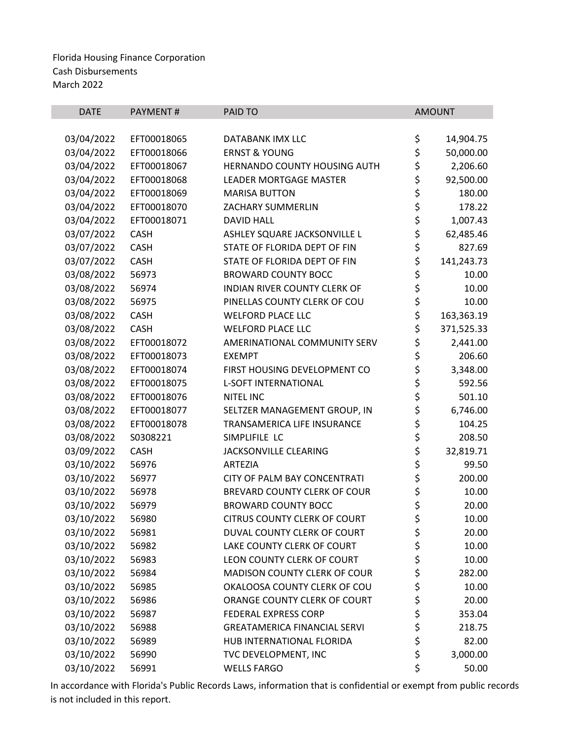| <b>DATE</b> | <b>PAYMENT#</b> | <b>PAID TO</b>                      | <b>AMOUNT</b>    |
|-------------|-----------------|-------------------------------------|------------------|
|             |                 |                                     |                  |
| 03/04/2022  | EFT00018065     | DATABANK IMX LLC                    | \$<br>14,904.75  |
| 03/04/2022  | EFT00018066     | <b>ERNST &amp; YOUNG</b>            | \$<br>50,000.00  |
| 03/04/2022  | EFT00018067     | HERNANDO COUNTY HOUSING AUTH        | \$<br>2,206.60   |
| 03/04/2022  | EFT00018068     | <b>LEADER MORTGAGE MASTER</b>       | \$<br>92,500.00  |
| 03/04/2022  | EFT00018069     | <b>MARISA BUTTON</b>                | \$<br>180.00     |
| 03/04/2022  | EFT00018070     | ZACHARY SUMMERLIN                   | \$<br>178.22     |
| 03/04/2022  | EFT00018071     | <b>DAVID HALL</b>                   | \$<br>1,007.43   |
| 03/07/2022  | <b>CASH</b>     | ASHLEY SQUARE JACKSONVILLE L        | \$<br>62,485.46  |
| 03/07/2022  | <b>CASH</b>     | STATE OF FLORIDA DEPT OF FIN        | \$<br>827.69     |
| 03/07/2022  | <b>CASH</b>     | STATE OF FLORIDA DEPT OF FIN        | \$<br>141,243.73 |
| 03/08/2022  | 56973           | <b>BROWARD COUNTY BOCC</b>          | \$<br>10.00      |
| 03/08/2022  | 56974           | INDIAN RIVER COUNTY CLERK OF        | \$<br>10.00      |
| 03/08/2022  | 56975           | PINELLAS COUNTY CLERK OF COU        | \$<br>10.00      |
| 03/08/2022  | <b>CASH</b>     | <b>WELFORD PLACE LLC</b>            | \$<br>163,363.19 |
| 03/08/2022  | <b>CASH</b>     | <b>WELFORD PLACE LLC</b>            | \$<br>371,525.33 |
| 03/08/2022  | EFT00018072     | AMERINATIONAL COMMUNITY SERV        | \$<br>2,441.00   |
| 03/08/2022  | EFT00018073     | <b>EXEMPT</b>                       | \$<br>206.60     |
| 03/08/2022  | EFT00018074     | FIRST HOUSING DEVELOPMENT CO        | \$<br>3,348.00   |
| 03/08/2022  | EFT00018075     | <b>L-SOFT INTERNATIONAL</b>         | \$<br>592.56     |
| 03/08/2022  | EFT00018076     | <b>NITEL INC</b>                    | \$<br>501.10     |
| 03/08/2022  | EFT00018077     | SELTZER MANAGEMENT GROUP, IN        | \$<br>6,746.00   |
| 03/08/2022  | EFT00018078     | TRANSAMERICA LIFE INSURANCE         | \$<br>104.25     |
| 03/08/2022  | S0308221        | SIMPLIFILE LC                       | \$<br>208.50     |
| 03/09/2022  | <b>CASH</b>     | <b>JACKSONVILLE CLEARING</b>        | \$<br>32,819.71  |
| 03/10/2022  | 56976           | <b>ARTEZIA</b>                      | \$<br>99.50      |
| 03/10/2022  | 56977           | CITY OF PALM BAY CONCENTRATI        | \$<br>200.00     |
| 03/10/2022  | 56978           | BREVARD COUNTY CLERK OF COUR        | \$<br>10.00      |
| 03/10/2022  | 56979           | <b>BROWARD COUNTY BOCC</b>          | \$<br>20.00      |
| 03/10/2022  | 56980           | <b>CITRUS COUNTY CLERK OF COURT</b> | \$<br>10.00      |
| 03/10/2022  | 56981           | DUVAL COUNTY CLERK OF COURT         | \$<br>20.00      |
| 03/10/2022  | 56982           | LAKE COUNTY CLERK OF COURT          | \$<br>10.00      |
| 03/10/2022  | 56983           | LEON COUNTY CLERK OF COURT          | \$<br>10.00      |
| 03/10/2022  | 56984           | <b>MADISON COUNTY CLERK OF COUR</b> | \$<br>282.00     |
| 03/10/2022  | 56985           | OKALOOSA COUNTY CLERK OF COU        | \$<br>10.00      |
| 03/10/2022  | 56986           | ORANGE COUNTY CLERK OF COURT        | \$<br>20.00      |
| 03/10/2022  | 56987           | <b>FEDERAL EXPRESS CORP</b>         | \$<br>353.04     |
| 03/10/2022  | 56988           | <b>GREATAMERICA FINANCIAL SERVI</b> | \$<br>218.75     |
| 03/10/2022  | 56989           | HUB INTERNATIONAL FLORIDA           | \$<br>82.00      |
| 03/10/2022  | 56990           | TVC DEVELOPMENT, INC                | \$<br>3,000.00   |
| 03/10/2022  | 56991           | <b>WELLS FARGO</b>                  | \$<br>50.00      |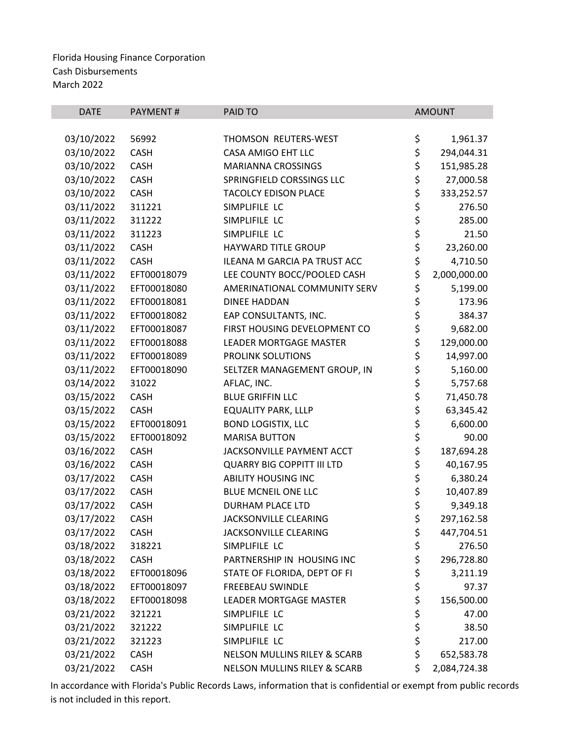| <b>DATE</b> | PAYMENT#    | PAID TO                                 | <b>AMOUNT</b> |              |
|-------------|-------------|-----------------------------------------|---------------|--------------|
|             |             |                                         |               |              |
| 03/10/2022  | 56992       | THOMSON REUTERS-WEST                    | \$            | 1,961.37     |
| 03/10/2022  | <b>CASH</b> | CASA AMIGO EHT LLC                      | \$            | 294,044.31   |
| 03/10/2022  | CASH        | <b>MARIANNA CROSSINGS</b>               | \$<br>\$      | 151,985.28   |
| 03/10/2022  | CASH        | SPRINGFIELD CORSSINGS LLC               |               | 27,000.58    |
| 03/10/2022  | CASH        | <b>TACOLCY EDISON PLACE</b>             | \$            | 333,252.57   |
| 03/11/2022  | 311221      | SIMPLIFILE LC                           | \$<br>\$      | 276.50       |
| 03/11/2022  | 311222      | SIMPLIFILE LC                           |               | 285.00       |
| 03/11/2022  | 311223      | SIMPLIFILE LC                           | \$            | 21.50        |
| 03/11/2022  | CASH        | HAYWARD TITLE GROUP                     | \$            | 23,260.00    |
| 03/11/2022  | CASH        | ILEANA M GARCIA PA TRUST ACC            | \$            | 4,710.50     |
| 03/11/2022  | EFT00018079 | LEE COUNTY BOCC/POOLED CASH             | \$            | 2,000,000.00 |
| 03/11/2022  | EFT00018080 | AMERINATIONAL COMMUNITY SERV            | \$            | 5,199.00     |
| 03/11/2022  | EFT00018081 | <b>DINEE HADDAN</b>                     | \$            | 173.96       |
| 03/11/2022  | EFT00018082 | EAP CONSULTANTS, INC.                   | \$<br>\$      | 384.37       |
| 03/11/2022  | EFT00018087 | FIRST HOUSING DEVELOPMENT CO            |               | 9,682.00     |
| 03/11/2022  | EFT00018088 | <b>LEADER MORTGAGE MASTER</b>           | \$<br>\$      | 129,000.00   |
| 03/11/2022  | EFT00018089 | PROLINK SOLUTIONS                       |               | 14,997.00    |
| 03/11/2022  | EFT00018090 | SELTZER MANAGEMENT GROUP, IN            |               | 5,160.00     |
| 03/14/2022  | 31022       | AFLAC, INC.                             |               | 5,757.68     |
| 03/15/2022  | <b>CASH</b> | <b>BLUE GRIFFIN LLC</b>                 | ややみ           | 71,450.78    |
| 03/15/2022  | <b>CASH</b> | <b>EQUALITY PARK, LLLP</b>              |               | 63,345.42    |
| 03/15/2022  | EFT00018091 | <b>BOND LOGISTIX, LLC</b>               |               | 6,600.00     |
| 03/15/2022  | EFT00018092 | <b>MARISA BUTTON</b>                    |               | 90.00        |
| 03/16/2022  | CASH        | JACKSONVILLE PAYMENT ACCT               | \$<br>\$      | 187,694.28   |
| 03/16/2022  | CASH        | <b>QUARRY BIG COPPITT III LTD</b>       | \$            | 40,167.95    |
| 03/17/2022  | CASH        | <b>ABILITY HOUSING INC</b>              |               | 6,380.24     |
| 03/17/2022  | <b>CASH</b> | <b>BLUE MCNEIL ONE LLC</b>              | \$\$\$        | 10,407.89    |
| 03/17/2022  | CASH        | <b>DURHAM PLACE LTD</b>                 |               | 9,349.18     |
| 03/17/2022  | <b>CASH</b> | <b>JACKSONVILLE CLEARING</b>            | \$            | 297,162.58   |
| 03/17/2022  | <b>CASH</b> | JACKSONVILLE CLEARING                   | \$            | 447,704.51   |
| 03/18/2022  | 318221      | SIMPLIFILE LC                           | \$            | 276.50       |
| 03/18/2022  | <b>CASH</b> | PARTNERSHIP IN HOUSING INC              | \$            | 296,728.80   |
| 03/18/2022  | EFT00018096 | STATE OF FLORIDA, DEPT OF FI            | \$            | 3,211.19     |
| 03/18/2022  | EFT00018097 | <b>FREEBEAU SWINDLE</b>                 | \$            | 97.37        |
| 03/18/2022  | EFT00018098 | LEADER MORTGAGE MASTER                  | \$            | 156,500.00   |
| 03/21/2022  | 321221      | SIMPLIFILE LC                           | \$            | 47.00        |
| 03/21/2022  | 321222      | SIMPLIFILE LC                           |               | 38.50        |
| 03/21/2022  | 321223      | SIMPLIFILE LC                           | \$<br>\$      | 217.00       |
| 03/21/2022  | <b>CASH</b> | <b>NELSON MULLINS RILEY &amp; SCARB</b> | \$            | 652,583.78   |
| 03/21/2022  | CASH        | NELSON MULLINS RILEY & SCARB            | \$            | 2,084,724.38 |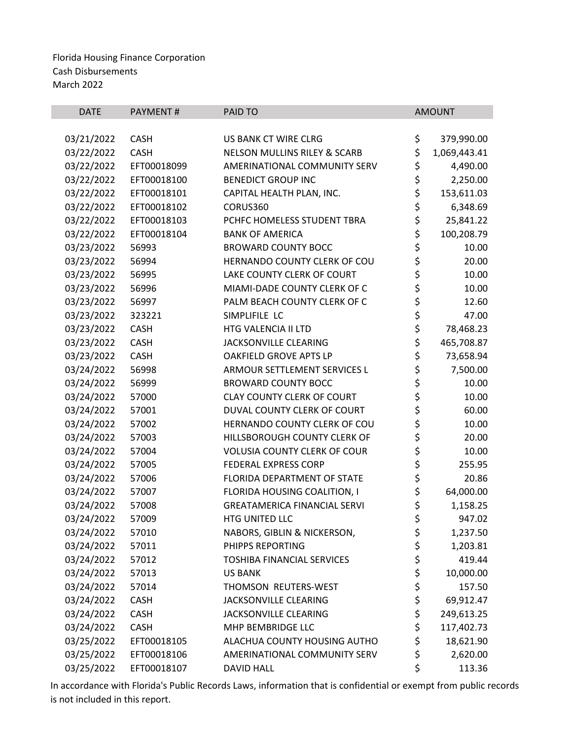| <b>DATE</b> | <b>PAYMENT#</b> | PAID TO                                 |          | <b>AMOUNT</b> |
|-------------|-----------------|-----------------------------------------|----------|---------------|
|             |                 |                                         |          |               |
| 03/21/2022  | <b>CASH</b>     | US BANK CT WIRE CLRG                    | \$       | 379,990.00    |
| 03/22/2022  | <b>CASH</b>     | <b>NELSON MULLINS RILEY &amp; SCARB</b> | \$       | 1,069,443.41  |
| 03/22/2022  | EFT00018099     | AMERINATIONAL COMMUNITY SERV            | \$       | 4,490.00      |
| 03/22/2022  | EFT00018100     | <b>BENEDICT GROUP INC</b>               | \$       | 2,250.00      |
| 03/22/2022  | EFT00018101     | CAPITAL HEALTH PLAN, INC.               | \$       | 153,611.03    |
| 03/22/2022  | EFT00018102     | CORUS360                                | \$       | 6,348.69      |
| 03/22/2022  | EFT00018103     | PCHFC HOMELESS STUDENT TBRA             | \$       | 25,841.22     |
| 03/22/2022  | EFT00018104     | <b>BANK OF AMERICA</b>                  | \$       | 100,208.79    |
| 03/23/2022  | 56993           | <b>BROWARD COUNTY BOCC</b>              | \$       | 10.00         |
| 03/23/2022  | 56994           | HERNANDO COUNTY CLERK OF COU            | \$       | 20.00         |
| 03/23/2022  | 56995           | LAKE COUNTY CLERK OF COURT              | \$       | 10.00         |
| 03/23/2022  | 56996           | MIAMI-DADE COUNTY CLERK OF C            | \$<br>\$ | 10.00         |
| 03/23/2022  | 56997           | PALM BEACH COUNTY CLERK OF C            |          | 12.60         |
| 03/23/2022  | 323221          | SIMPLIFILE LC                           | \$       | 47.00         |
| 03/23/2022  | <b>CASH</b>     | HTG VALENCIA II LTD                     | \$       | 78,468.23     |
| 03/23/2022  | <b>CASH</b>     | JACKSONVILLE CLEARING                   | \$       | 465,708.87    |
| 03/23/2022  | <b>CASH</b>     | OAKFIELD GROVE APTS LP                  | \$       | 73,658.94     |
| 03/24/2022  | 56998           | ARMOUR SETTLEMENT SERVICES L            | \$       | 7,500.00      |
| 03/24/2022  | 56999           | <b>BROWARD COUNTY BOCC</b>              | \$       | 10.00         |
| 03/24/2022  | 57000           | <b>CLAY COUNTY CLERK OF COURT</b>       | \$       | 10.00         |
| 03/24/2022  | 57001           | DUVAL COUNTY CLERK OF COURT             | \$       | 60.00         |
| 03/24/2022  | 57002           | HERNANDO COUNTY CLERK OF COU            | \$       | 10.00         |
| 03/24/2022  | 57003           | HILLSBOROUGH COUNTY CLERK OF            | \$       | 20.00         |
| 03/24/2022  | 57004           | <b>VOLUSIA COUNTY CLERK OF COUR</b>     | \$       | 10.00         |
| 03/24/2022  | 57005           | <b>FEDERAL EXPRESS CORP</b>             | \$       | 255.95        |
| 03/24/2022  | 57006           | FLORIDA DEPARTMENT OF STATE             | \$       | 20.86         |
| 03/24/2022  | 57007           | FLORIDA HOUSING COALITION, I            | \$       | 64,000.00     |
| 03/24/2022  | 57008           | <b>GREATAMERICA FINANCIAL SERVI</b>     | \$       | 1,158.25      |
| 03/24/2022  | 57009           | HTG UNITED LLC                          | \$       | 947.02        |
| 03/24/2022  | 57010           | NABORS, GIBLIN & NICKERSON,             | \$       | 1,237.50      |
| 03/24/2022  | 57011           | PHIPPS REPORTING                        | \$       | 1,203.81      |
| 03/24/2022  | 57012           | <b>TOSHIBA FINANCIAL SERVICES</b>       | \$       | 419.44        |
| 03/24/2022  | 57013           | <b>US BANK</b>                          | \$       | 10,000.00     |
| 03/24/2022  | 57014           | THOMSON REUTERS-WEST                    | \$       | 157.50        |
| 03/24/2022  | <b>CASH</b>     | JACKSONVILLE CLEARING                   | \$       | 69,912.47     |
| 03/24/2022  | <b>CASH</b>     | JACKSONVILLE CLEARING                   | \$       | 249,613.25    |
| 03/24/2022  | <b>CASH</b>     | MHP BEMBRIDGE LLC                       | \$       | 117,402.73    |
| 03/25/2022  | EFT00018105     | ALACHUA COUNTY HOUSING AUTHO            | \$       | 18,621.90     |
| 03/25/2022  | EFT00018106     | AMERINATIONAL COMMUNITY SERV            | \$       | 2,620.00      |
| 03/25/2022  | EFT00018107     | <b>DAVID HALL</b>                       | \$       | 113.36        |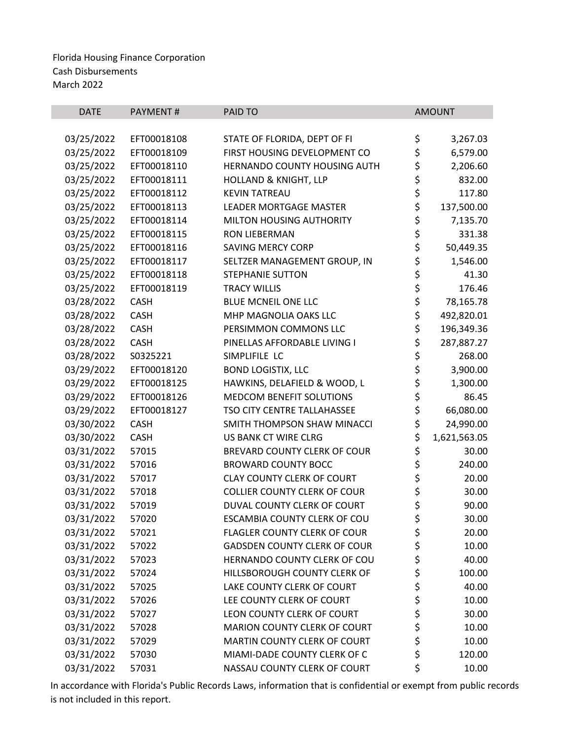| <b>DATE</b> | <b>PAYMENT#</b> | <b>PAID TO</b>                      | <b>AMOUNT</b>      |
|-------------|-----------------|-------------------------------------|--------------------|
|             |                 |                                     |                    |
| 03/25/2022  | EFT00018108     | STATE OF FLORIDA, DEPT OF FI        | \$<br>3,267.03     |
| 03/25/2022  | EFT00018109     | FIRST HOUSING DEVELOPMENT CO        | \$<br>6,579.00     |
| 03/25/2022  | EFT00018110     | HERNANDO COUNTY HOUSING AUTH        | \$<br>2,206.60     |
| 03/25/2022  | EFT00018111     | HOLLAND & KNIGHT, LLP               | \$<br>832.00       |
| 03/25/2022  | EFT00018112     | <b>KEVIN TATREAU</b>                | \$<br>117.80       |
| 03/25/2022  | EFT00018113     | <b>LEADER MORTGAGE MASTER</b>       | \$<br>137,500.00   |
| 03/25/2022  | EFT00018114     | MILTON HOUSING AUTHORITY            | \$<br>7,135.70     |
| 03/25/2022  | EFT00018115     | <b>RON LIEBERMAN</b>                | \$<br>331.38       |
| 03/25/2022  | EFT00018116     | <b>SAVING MERCY CORP</b>            | \$<br>50,449.35    |
| 03/25/2022  | EFT00018117     | SELTZER MANAGEMENT GROUP, IN        | \$<br>1,546.00     |
| 03/25/2022  | EFT00018118     | <b>STEPHANIE SUTTON</b>             | \$<br>41.30        |
| 03/25/2022  | EFT00018119     | <b>TRACY WILLIS</b>                 | \$<br>176.46       |
| 03/28/2022  | <b>CASH</b>     | BLUE MCNEIL ONE LLC                 | \$<br>78,165.78    |
| 03/28/2022  | <b>CASH</b>     | MHP MAGNOLIA OAKS LLC               | \$<br>492,820.01   |
| 03/28/2022  | <b>CASH</b>     | PERSIMMON COMMONS LLC               | \$<br>196,349.36   |
| 03/28/2022  | <b>CASH</b>     | PINELLAS AFFORDABLE LIVING I        | \$<br>287,887.27   |
| 03/28/2022  | S0325221        | SIMPLIFILE LC                       | \$<br>268.00       |
| 03/29/2022  | EFT00018120     | <b>BOND LOGISTIX, LLC</b>           | \$<br>3,900.00     |
| 03/29/2022  | EFT00018125     | HAWKINS, DELAFIELD & WOOD, L        | \$<br>1,300.00     |
| 03/29/2022  | EFT00018126     | MEDCOM BENEFIT SOLUTIONS            | \$<br>86.45        |
| 03/29/2022  | EFT00018127     | TSO CITY CENTRE TALLAHASSEE         | \$<br>66,080.00    |
| 03/30/2022  | <b>CASH</b>     | SMITH THOMPSON SHAW MINACCI         | \$<br>24,990.00    |
| 03/30/2022  | <b>CASH</b>     | US BANK CT WIRE CLRG                | \$<br>1,621,563.05 |
| 03/31/2022  | 57015           | BREVARD COUNTY CLERK OF COUR        | \$<br>30.00        |
| 03/31/2022  | 57016           | <b>BROWARD COUNTY BOCC</b>          | \$<br>240.00       |
| 03/31/2022  | 57017           | <b>CLAY COUNTY CLERK OF COURT</b>   | \$<br>20.00        |
| 03/31/2022  | 57018           | <b>COLLIER COUNTY CLERK OF COUR</b> | \$<br>30.00        |
| 03/31/2022  | 57019           | DUVAL COUNTY CLERK OF COURT         | \$<br>90.00        |
| 03/31/2022  | 57020           | ESCAMBIA COUNTY CLERK OF COU        | \$<br>30.00        |
| 03/31/2022  | 57021           | <b>FLAGLER COUNTY CLERK OF COUR</b> | \$<br>20.00        |
| 03/31/2022  | 57022           | <b>GADSDEN COUNTY CLERK OF COUR</b> | \$<br>10.00        |
| 03/31/2022  | 57023           | HERNANDO COUNTY CLERK OF COU        | \$<br>40.00        |
| 03/31/2022  | 57024           | HILLSBOROUGH COUNTY CLERK OF        | \$<br>100.00       |
| 03/31/2022  | 57025           | LAKE COUNTY CLERK OF COURT          | \$<br>40.00        |
| 03/31/2022  | 57026           | LEE COUNTY CLERK OF COURT           | \$<br>10.00        |
| 03/31/2022  | 57027           | LEON COUNTY CLERK OF COURT          | \$<br>30.00        |
| 03/31/2022  | 57028           | MARION COUNTY CLERK OF COURT        | \$<br>10.00        |
| 03/31/2022  | 57029           | MARTIN COUNTY CLERK OF COURT        | \$<br>10.00        |
| 03/31/2022  | 57030           | MIAMI-DADE COUNTY CLERK OF C        | \$<br>120.00       |
| 03/31/2022  | 57031           | NASSAU COUNTY CLERK OF COURT        | \$<br>10.00        |